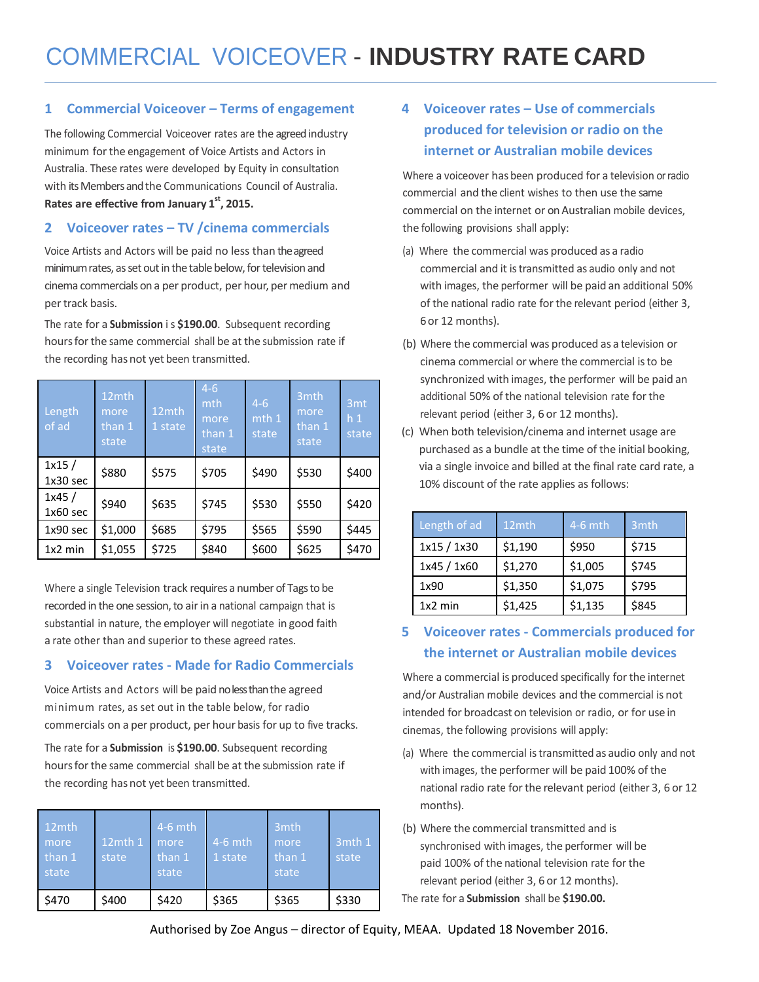### **1 Commercial Voiceover – Terms of engagement**

The following Commercial Voiceover rates are the agreed industry minimum forthe engagement of Voice Artists and Actors in Australia. These rates were developed by Equity in consultation with its Members and the Communications Council of Australia. **Rates are effective from January 1 st , 2015.**

## **2 Voiceover rates – TV /cinema commercials**

Voice Artists and Actors will be paid no less than the agreed minimum rates, as set out in the table below, for television and cinema commercials on a per product, per hour, per medium and per track basis.

The rate for a **Submission** i s **\$190.00**. Subsequent recording hours for the same commercial shall be at the submission rate if the recording has not yet been transmitted.

| Length<br>of ad     | 12mth<br>more<br>than 1<br>state | 12mth<br>1 state | $4 - 6$<br>mth<br>more<br>than 1<br>state | $4 - 6$<br>mth 1<br>state | 3mth<br>more<br>than 1<br>state | 3 <sub>mt</sub><br>h <sub>1</sub><br>state |
|---------------------|----------------------------------|------------------|-------------------------------------------|---------------------------|---------------------------------|--------------------------------------------|
| 1x15/<br>$1x30$ sec | \$880                            | \$575            | \$705                                     | \$490                     | \$530                           | \$400                                      |
| 1x45/<br>$1x60$ sec | \$940                            | \$635            | \$745                                     | \$530                     | \$550                           | \$420                                      |
| 1x90 sec            | \$1,000                          | \$685            | \$795                                     | \$565                     | \$590                           | \$445                                      |
| $1x2$ min           | \$1,055                          | \$725            | \$840                                     | \$600                     | \$625                           | \$470                                      |

Where a single Television track requires a number of Tags to be recorded in the one session, to air in a national campaign that is substantial in nature, the employer will negotiate in good faith a rate other than and superior to these agreed rates.

### **3 Voiceover rates - Made for Radio Commercials**

Voice Artists and Actors will be paid no less than the agreed minimum rates, as set out in the table below, for radio commercials on a per product, per hour basis for up to five tracks.

The rate for a **Submission** is **\$190.00**. Subsequent recording hours for the same commercial shall be at the submission rate if the recording has not yet been transmitted.

| 12mth<br>more<br>than 1<br>state | $12$ mth $1$<br>state | $4-6$ mth<br>more<br>than 1<br>state | $4-6$ mth<br>1 state | 3 <sub>mth</sub><br>more<br>than 1<br>state | ี 3mth 1<br>state |
|----------------------------------|-----------------------|--------------------------------------|----------------------|---------------------------------------------|-------------------|
| \$470                            | \$400                 | \$420                                | \$365                | \$365                                       | \$330             |

## **4 Voiceover rates – Use of commercials produced for television or radio on the internet or Australian mobile devices**

Where a voiceover has been produced for a television or radio commercial and the client wishes to then use the same commercial on the internet or on Australian mobile devices, the following provisions shall apply:

- (a) Where the commercial was produced as a radio commercial and it istransmitted as audio only and not with images, the performer will be paid an additional 50% of the national radio rate for the relevant period (either 3, 6or 12 months).
- (b) Where the commercial was produced as a television or cinema commercial or where the commercial isto be synchronized with images, the performer will be paid an additional 50% of the national television rate forthe relevant period (either 3, 6 or 12 months).
- (c) When both television/cinema and internet usage are purchased as a bundle at the time of the initial booking, via a single invoice and billed at the final rate card rate, a 10% discount of the rate applies as follows:

| Length of ad | 12mth   | $4-6$ mth | 3 <sub>mth</sub> |
|--------------|---------|-----------|------------------|
| 1x15 / 1x30  | \$1,190 | \$950     | \$715            |
| 1x45 / 1x60  | \$1,270 | \$1,005   | \$745            |
| 1x90         | \$1,350 | \$1,075   | \$795            |
| $1x2$ min    | \$1,425 | \$1,135   | \$845            |

## **5 Voiceover rates - Commercials produced for the internet or Australian mobile devices**

Where a commercial is produced specifically for the internet and/or Australian mobile devices and the commercial is not intended for broadcast on television or radio, or for use in cinemas, the following provisions will apply:

- (a) Where the commercial istransmitted as audio only and not with images, the performer will be paid 100% of the national radio rate forthe relevant period (either 3, 6 or 12 months).
- (b) Where the commercial transmitted and is synchronised with images, the performer will be paid 100% of the national television rate for the relevant period (either 3, 6 or 12 months).

The rate for a **Submission** shall be **\$190.00.**

Authorised by Zoe Angus – director of Equity, MEAA. Updated 18 November 2016.